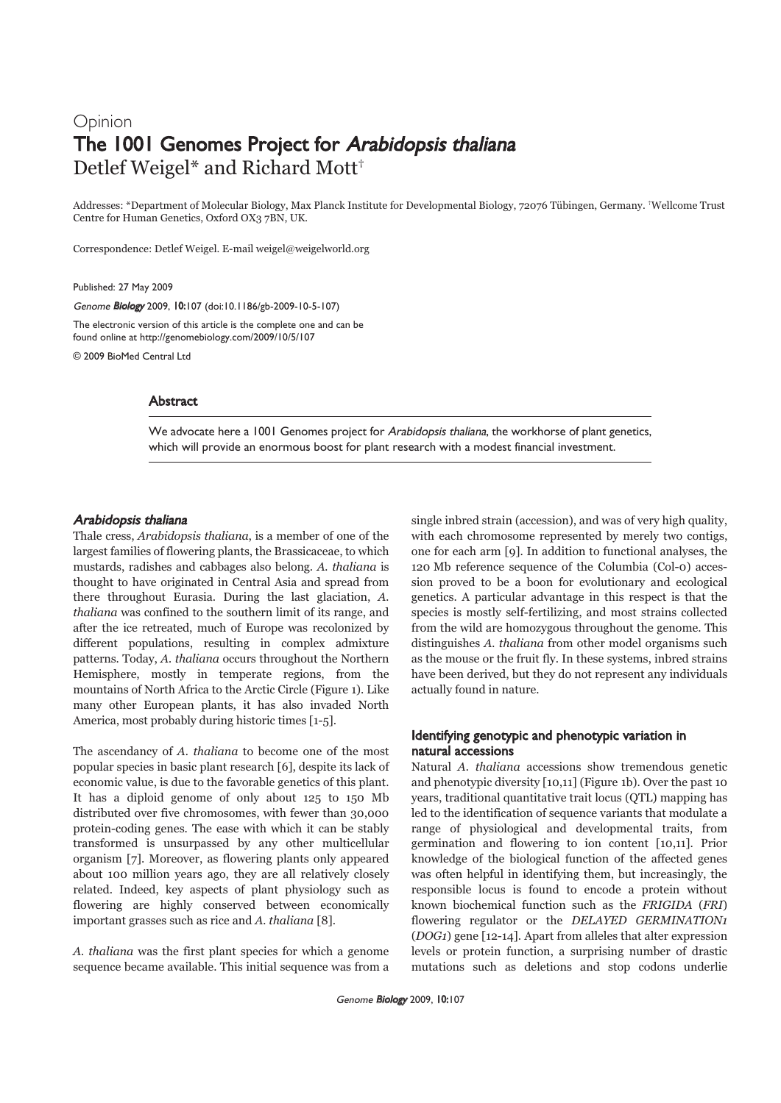# Opinion The 1001 Genomes Project for Arabidopsis thaliana Detlef Weigel\* and Richard Mott†

Addresses: \*Department of Molecular Biology, Max Planck Institute for Developmental Biology, 72076 Tübingen, Germany. †Wellcome Trust Centre for Human Genetics, Oxford OX3 7BN, UK.

Correspondence: Detlef Weigel. E-mail weigel@weigelworld.org

Published: 27 May 2009

Genome Biology 2009, 10:107 (doi:10.1186/gb-2009-10-5-107)

The electronic version of this article is the complete one and can be found online at http://genomebiology.com/2009/10/5/107

© 2009 BioMed Central Ltd

## **Abstract**

We advocate here a 1001 Genomes project for Arabidopsis thaliana, the workhorse of plant genetics, which will provide an enormous boost for plant research with a modest financial investment.

### Arabidopsis thaliana

Thale cress, Arabidopsis thaliana, is a member of one of the largest families of flowering plants, the Brassicaceae, to which mustards, radishes and cabbages also belong. A. thaliana is thought to have originated in Central Asia and spread from there throughout Eurasia. During the last glaciation, A. thaliana was confined to the southern limit of its range, and after the ice retreated, much of Europe was recolonized by different populations, resulting in complex admixture patterns. Today, A. thaliana occurs throughout the Northern Hemisphere, mostly in temperate regions, from the mountains of North Africa to the Arctic Circle (Figure 1). Like many other European plants, it has also invaded North America, most probably during historic times [1-5].

The ascendancy of A. thaliana to become one of the most popular species in basic plant research [6], despite its lack of economic value, is due to the favorable genetics of this plant. It has a diploid genome of only about 125 to 150 Mb distributed over five chromosomes, with fewer than 30,000 protein-coding genes. The ease with which it can be stably transformed is unsurpassed by any other multicellular organism [7]. Moreover, as flowering plants only appeared about 100 million years ago, they are all relatively closely related. Indeed, key aspects of plant physiology such as flowering are highly conserved between economically important grasses such as rice and A. thaliana [8].

A. thaliana was the first plant species for which a genome sequence became available. This initial sequence was from a single inbred strain (accession), and was of very high quality, with each chromosome represented by merely two contigs, one for each arm [9]. In addition to functional analyses, the 120 Mb reference sequence of the Columbia (Col-0) accession proved to be a boon for evolutionary and ecological genetics. A particular advantage in this respect is that the species is mostly self-fertilizing, and most strains collected from the wild are homozygous throughout the genome. This distinguishes A. thaliana from other model organisms such as the mouse or the fruit fly. In these systems, inbred strains have been derived, but they do not represent any individuals actually found in nature.

## Identifying genotypic and phenotypic variation in natural accessions

Natural A. thaliana accessions show tremendous genetic and phenotypic diversity [10,11] (Figure 1b). Over the past 10 years, traditional quantitative trait locus (QTL) mapping has led to the identification of sequence variants that modulate a range of physiological and developmental traits, from germination and flowering to ion content [10,11]. Prior knowledge of the biological function of the affected genes was often helpful in identifying them, but increasingly, the responsible locus is found to encode a protein without known biochemical function such as the FRIGIDA (FRI) flowering regulator or the DELAYED GERMINATION1 (DOG1) gene [12-14]. Apart from alleles that alter expression levels or protein function, a surprising number of drastic mutations such as deletions and stop codons underlie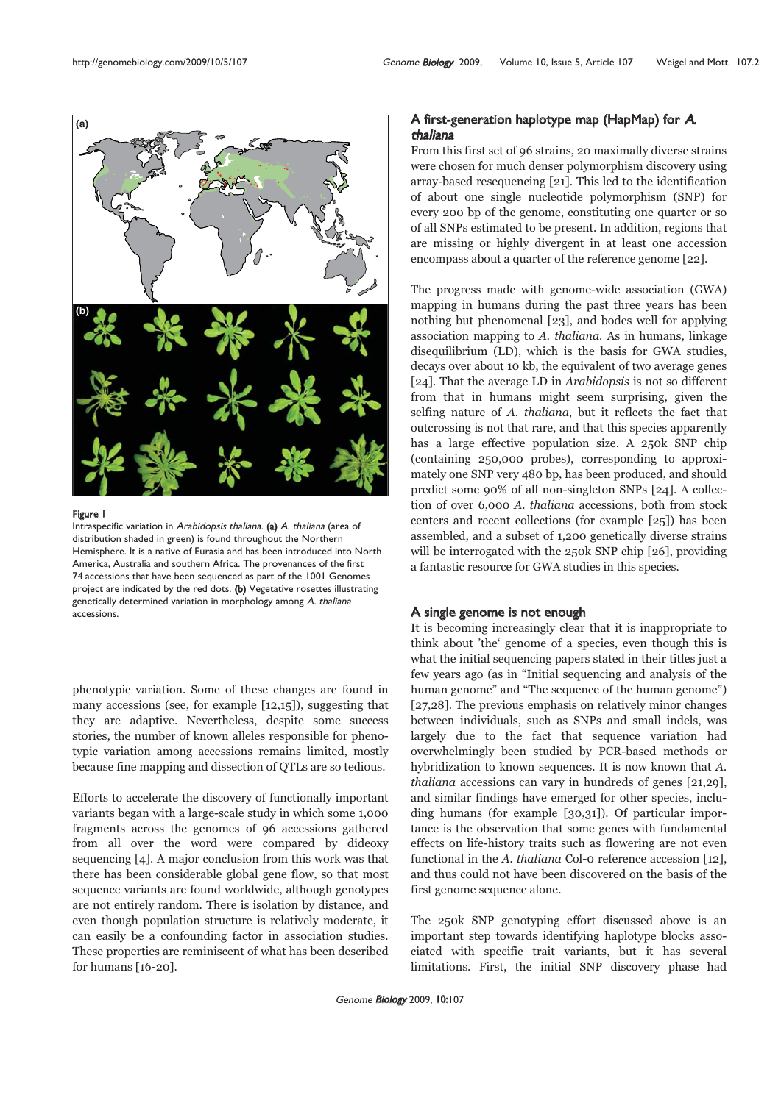

#### Figure 1

Intraspecific variation in Arabidopsis thaliana. (a) A. thaliana (area of distribution shaded in green) is found throughout the Northern Hemisphere. It is a native of Eurasia and has been introduced into North America, Australia and southern Africa. The provenances of the first 74 accessions that have been sequenced as part of the 1001 Genomes project are indicated by the red dots. (b) Vegetative rosettes illustrating genetically determined variation in morphology among A. thaliana accessions.

phenotypic variation. Some of these changes are found in many accessions (see, for example [12,15]), suggesting that they are adaptive. Nevertheless, despite some success stories, the number of known alleles responsible for phenotypic variation among accessions remains limited, mostly because fine mapping and dissection of QTLs are so tedious.

Efforts to accelerate the discovery of functionally important variants began with a large-scale study in which some 1,000 fragments across the genomes of 96 accessions gathered from all over the word were compared by dideoxy sequencing [4]. A major conclusion from this work was that there has been considerable global gene flow, so that most sequence variants are found worldwide, although genotypes are not entirely random. There is isolation by distance, and even though population structure is relatively moderate, it can easily be a confounding factor in association studies. These properties are reminiscent of what has been described for humans [16-20].

# A first-generation haplotype map (HapMap) for A. thaliana

From this first set of 96 strains, 20 maximally diverse strains were chosen for much denser polymorphism discovery using array-based resequencing [21]. This led to the identification of about one single nucleotide polymorphism (SNP) for every 200 bp of the genome, constituting one quarter or so of all SNPs estimated to be present. In addition, regions that are missing or highly divergent in at least one accession encompass about a quarter of the reference genome [22].

The progress made with genome-wide association (GWA) mapping in humans during the past three years has been nothing but phenomenal [23], and bodes well for applying association mapping to A. thaliana. As in humans, linkage disequilibrium (LD), which is the basis for GWA studies, decays over about 10 kb, the equivalent of two average genes [24]. That the average LD in *Arabidopsis* is not so different from that in humans might seem surprising, given the selfing nature of A. thaliana, but it reflects the fact that outcrossing is not that rare, and that this species apparently has a large effective population size. A 250k SNP chip (containing 250,000 probes), corresponding to approximately one SNP very 480 bp, has been produced, and should predict some 90% of all non-singleton SNPs [24]. A collection of over 6,000 A. thaliana accessions, both from stock centers and recent collections (for example [25]) has been assembled, and a subset of 1,200 genetically diverse strains will be interrogated with the 250k SNP chip [26], providing a fantastic resource for GWA studies in this species.

## A single genome is not enough

It is becoming increasingly clear that it is inappropriate to think about 'the' genome of a species, even though this is what the initial sequencing papers stated in their titles just a few years ago (as in "Initial sequencing and analysis of the human genome" and "The sequence of the human genome") [27,28]. The previous emphasis on relatively minor changes between individuals, such as SNPs and small indels, was largely due to the fact that sequence variation had overwhelmingly been studied by PCR-based methods or hybridization to known sequences. It is now known that A. thaliana accessions can vary in hundreds of genes [21,29], and similar findings have emerged for other species, including humans (for example [30,31]). Of particular importance is the observation that some genes with fundamental effects on life-history traits such as flowering are not even functional in the A. thaliana Col-0 reference accession [12], and thus could not have been discovered on the basis of the first genome sequence alone.

The 250k SNP genotyping effort discussed above is an important step towards identifying haplotype blocks associated with specific trait variants, but it has several limitations. First, the initial SNP discovery phase had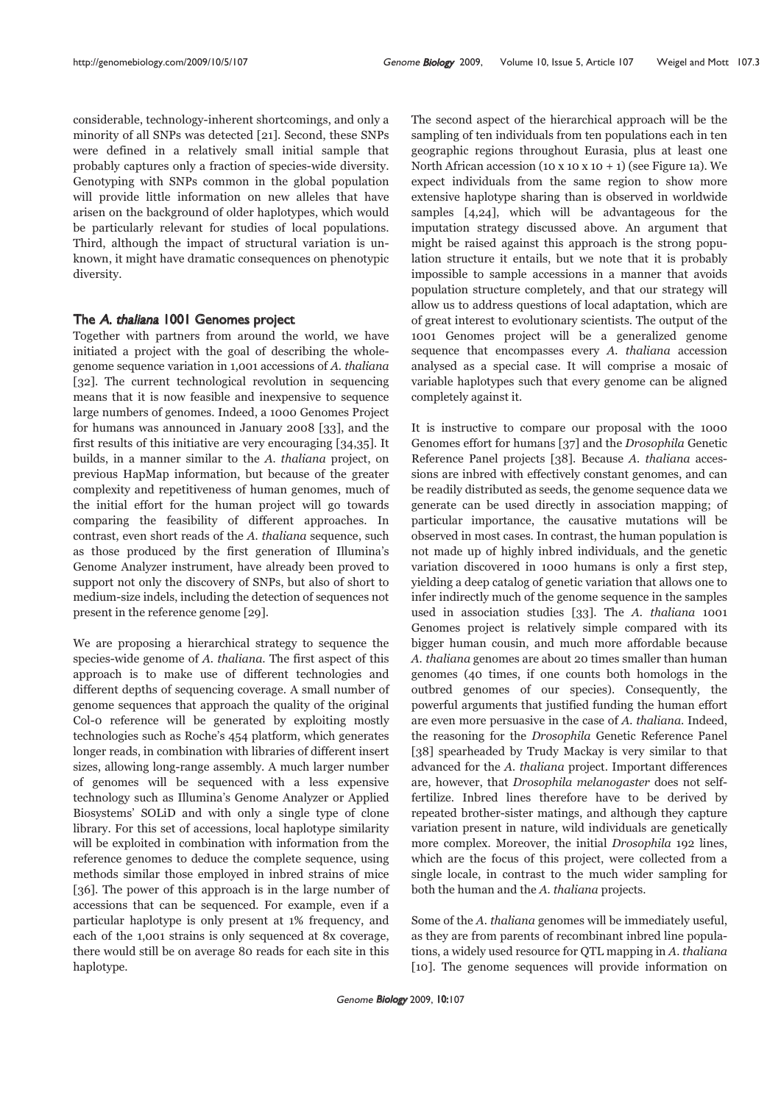considerable, technology-inherent shortcomings, and only a minority of all SNPs was detected [21]. Second, these SNPs were defined in a relatively small initial sample that probably captures only a fraction of species-wide diversity. Genotyping with SNPs common in the global population will provide little information on new alleles that have arisen on the background of older haplotypes, which would be particularly relevant for studies of local populations. Third, although the impact of structural variation is unknown, it might have dramatic consequences on phenotypic diversity.

## The A. thaliana 1001 Genomes project

Together with partners from around the world, we have initiated a project with the goal of describing the wholegenome sequence variation in 1,001 accessions of A. thaliana [32]. The current technological revolution in sequencing means that it is now feasible and inexpensive to sequence large numbers of genomes. Indeed, a 1000 Genomes Project for humans was announced in January 2008 [33], and the first results of this initiative are very encouraging [34,35]. It builds, in a manner similar to the A. thaliana project, on previous HapMap information, but because of the greater complexity and repetitiveness of human genomes, much of the initial effort for the human project will go towards comparing the feasibility of different approaches. In contrast, even short reads of the A. thaliana sequence, such as those produced by the first generation of Illumina's Genome Analyzer instrument, have already been proved to support not only the discovery of SNPs, but also of short to medium-size indels, including the detection of sequences not present in the reference genome [29].

We are proposing a hierarchical strategy to sequence the species-wide genome of A. thaliana. The first aspect of this approach is to make use of different technologies and different depths of sequencing coverage. A small number of genome sequences that approach the quality of the original Col-0 reference will be generated by exploiting mostly technologies such as Roche's 454 platform, which generates longer reads, in combination with libraries of different insert sizes, allowing long-range assembly. A much larger number of genomes will be sequenced with a less expensive technology such as Illumina's Genome Analyzer or Applied Biosystems' SOLiD and with only a single type of clone library. For this set of accessions, local haplotype similarity will be exploited in combination with information from the reference genomes to deduce the complete sequence, using methods similar those employed in inbred strains of mice [36]. The power of this approach is in the large number of accessions that can be sequenced. For example, even if a particular haplotype is only present at 1% frequency, and each of the 1,001 strains is only sequenced at 8x coverage, there would still be on average 80 reads for each site in this haplotype.

The second aspect of the hierarchical approach will be the sampling of ten individuals from ten populations each in ten geographic regions throughout Eurasia, plus at least one North African accession (10 x 10 x 10 + 1) (see Figure 1a). We expect individuals from the same region to show more extensive haplotype sharing than is observed in worldwide samples [4,24], which will be advantageous for the imputation strategy discussed above. An argument that might be raised against this approach is the strong population structure it entails, but we note that it is probably impossible to sample accessions in a manner that avoids population structure completely, and that our strategy will allow us to address questions of local adaptation, which are of great interest to evolutionary scientists. The output of the 1001 Genomes project will be a generalized genome sequence that encompasses every A. thaliana accession analysed as a special case. It will comprise a mosaic of variable haplotypes such that every genome can be aligned completely against it.

It is instructive to compare our proposal with the 1000 Genomes effort for humans [37] and the Drosophila Genetic Reference Panel projects [38]. Because A. thaliana accessions are inbred with effectively constant genomes, and can be readily distributed as seeds, the genome sequence data we generate can be used directly in association mapping; of particular importance, the causative mutations will be observed in most cases. In contrast, the human population is not made up of highly inbred individuals, and the genetic variation discovered in 1000 humans is only a first step, yielding a deep catalog of genetic variation that allows one to infer indirectly much of the genome sequence in the samples used in association studies [33]. The A. thaliana 1001 Genomes project is relatively simple compared with its bigger human cousin, and much more affordable because A. thaliana genomes are about 20 times smaller than human genomes (40 times, if one counts both homologs in the outbred genomes of our species). Consequently, the powerful arguments that justified funding the human effort are even more persuasive in the case of A. thaliana. Indeed, the reasoning for the Drosophila Genetic Reference Panel [38] spearheaded by Trudy Mackay is very similar to that advanced for the A. thaliana project. Important differences are, however, that Drosophila melanogaster does not selffertilize. Inbred lines therefore have to be derived by repeated brother-sister matings, and although they capture variation present in nature, wild individuals are genetically more complex. Moreover, the initial Drosophila 192 lines, which are the focus of this project, were collected from a single locale, in contrast to the much wider sampling for both the human and the A. thaliana projects.

Some of the A. thaliana genomes will be immediately useful, as they are from parents of recombinant inbred line populations, a widely used resource for QTL mapping in A. thaliana [10]. The genome sequences will provide information on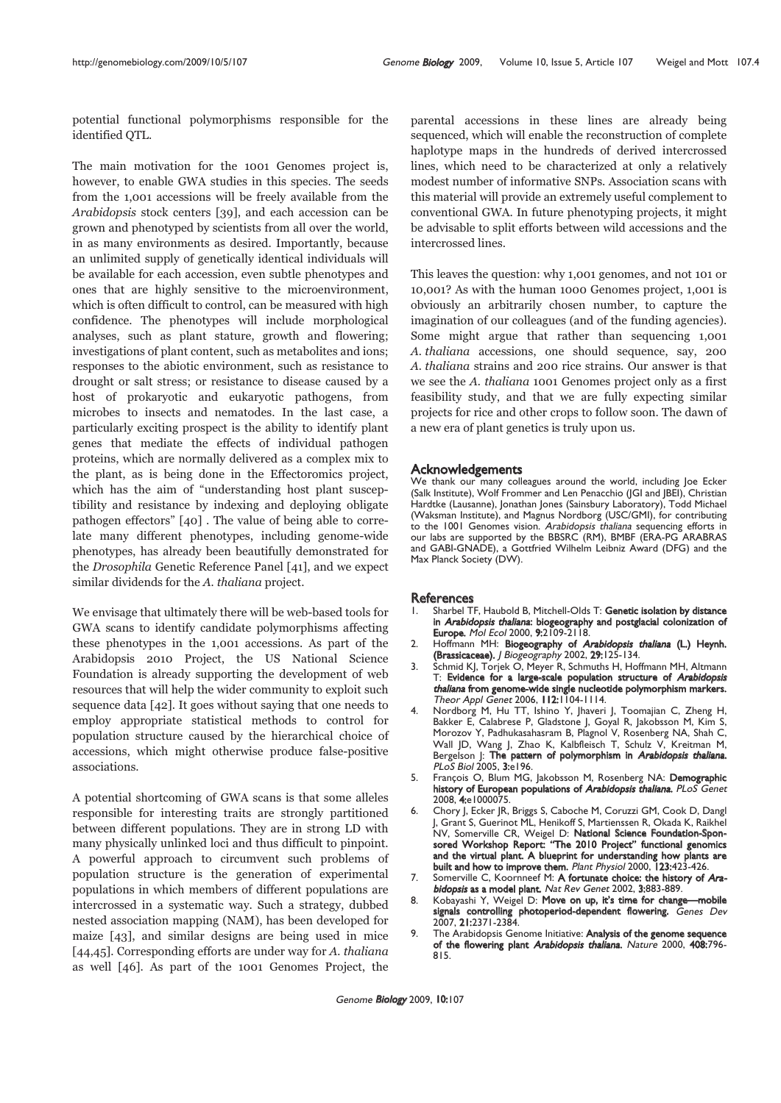potential functional polymorphisms responsible for the identified QTL.

The main motivation for the 1001 Genomes project is, however, to enable GWA studies in this species. The seeds from the 1,001 accessions will be freely available from the Arabidopsis stock centers [39], and each accession can be grown and phenotyped by scientists from all over the world, in as many environments as desired. Importantly, because an unlimited supply of genetically identical individuals will be available for each accession, even subtle phenotypes and ones that are highly sensitive to the microenvironment, which is often difficult to control, can be measured with high confidence. The phenotypes will include morphological analyses, such as plant stature, growth and flowering; investigations of plant content, such as metabolites and ions; responses to the abiotic environment, such as resistance to drought or salt stress; or resistance to disease caused by a host of prokaryotic and eukaryotic pathogens, from microbes to insects and nematodes. In the last case, a particularly exciting prospect is the ability to identify plant genes that mediate the effects of individual pathogen proteins, which are normally delivered as a complex mix to the plant, as is being done in the Effectoromics project, which has the aim of "understanding host plant susceptibility and resistance by indexing and deploying obligate pathogen effectors" [40] . The value of being able to correlate many different phenotypes, including genome-wide phenotypes, has already been beautifully demonstrated for the Drosophila Genetic Reference Panel [41], and we expect similar dividends for the A. thaliana project.

We envisage that ultimately there will be web-based tools for GWA scans to identify candidate polymorphisms affecting these phenotypes in the 1,001 accessions. As part of the Arabidopsis 2010 Project, the US National Science Foundation is already supporting the development of web resources that will help the wider community to exploit such sequence data [42]. It goes without saying that one needs to employ appropriate statistical methods to control for population structure caused by the hierarchical choice of accessions, which might otherwise produce false-positive associations.

A potential shortcoming of GWA scans is that some alleles responsible for interesting traits are strongly partitioned between different populations. They are in strong LD with many physically unlinked loci and thus difficult to pinpoint. A powerful approach to circumvent such problems of population structure is the generation of experimental populations in which members of different populations are intercrossed in a systematic way. Such a strategy, dubbed nested association mapping (NAM), has been developed for maize [43], and similar designs are being used in mice [44,45]. Corresponding efforts are under way for A. thaliana as well [46]. As part of the 1001 Genomes Project, the

parental accessions in these lines are already being sequenced, which will enable the reconstruction of complete haplotype maps in the hundreds of derived intercrossed lines, which need to be characterized at only a relatively modest number of informative SNPs. Association scans with this material will provide an extremely useful complement to conventional GWA. In future phenotyping projects, it might be advisable to split efforts between wild accessions and the intercrossed lines.

This leaves the question: why 1,001 genomes, and not 101 or 10,001? As with the human 1000 Genomes project, 1,001 is obviously an arbitrarily chosen number, to capture the imagination of our colleagues (and of the funding agencies). Some might argue that rather than sequencing 1,001 A. thaliana accessions, one should sequence, say, 200 A. thaliana strains and 200 rice strains. Our answer is that we see the A. thaliana 1001 Genomes project only as a first feasibility study, and that we are fully expecting similar projects for rice and other crops to follow soon. The dawn of a new era of plant genetics is truly upon us.

### Acknowledgements

We thank our many colleagues around the world, including loe Ecker (Salk Institute), Wolf Frommer and Len Penacchio (JGI and JBEI), Christian Hardtke (Lausanne), Jonathan Jones (Sainsbury Laboratory), Todd Michael (Waksman Institute), and Magnus Nordborg (USC/GMI), for contributing to the 1001 Genomes vision. Arabidopsis thaliana sequencing efforts in our labs are supported by the BBSRC (RM), BMBF (ERA-PG ARABRAS and GABI-GNADE), a Gottfried Wilhelm Leibniz Award (DFG) and the Max Planck Society (DW).

#### **References**

- Sharbel TF, Haubold B, Mitchell-Olds T: Genetic isolation by distance in Arabidopsis thaliana: biogeography and postglacial colonization of Europe. Mol Ecol 2000, 9:2109-2118.
- 2. Hoffmann MH: Biogeography of Arabidopsis thaliana (L.) Heynh. (Brassicaceae). J Biogeography 2002, 29:125-134.
- 3. Schmid KJ, Torjek O, Meyer R, Schmuths H, Hoffmann MH, Altmann T: Evidence for a large-scale population structure of Arabidopsis thaliana from genome-wide single nucleotide polymorphism markers. Theor Appl Genet 2006, 112:1104-1114.
- 4. Nordborg M, Hu TT, Ishino Y, Jhaveri J, Toomajian C, Zheng H, Bakker E, Calabrese P, Gladstone J, Goyal R, Jakobsson M, Kim S, Morozov Y, Padhukasahasram B, Plagnol V, Rosenberg NA, Shah C, Wall JD, Wang J, Zhao K, Kalbfleisch T, Schulz V, Kreitman M, Bergelson J: The pattern of polymorphism in Arabidopsis thaliana. PLoS Biol 2005, 3:e196.
- 5. François O, Blum MG, Jakobsson M, Rosenberg NA: Demographic history of European populations of Arabidopsis thaliana. PLoS Genet 2008, 4:e1000075.
- 6. Chory J, Ecker JR, Briggs S, Caboche M, Coruzzi GM, Cook D, Dangl J, Grant S, Guerinot ML, Henikoff S, Martienssen R, Okada K, Raikhel NV, Somerville CR, Weigel D: National Science Foundation-Sponsored Workshop Report: "The 2010 Project" functional genomics and the virtual plant. A blueprint for understanding how plants are built and how to improve them. Plant Physiol 2000, 123:423-426.
- 7. Somerville C, Koornneef M: A fortunate choice: the history of Arabidopsis as a model plant. Nat Rev Genet 2002, 3:883-889.
- Kobayashi Y, Weigel D: Move on up, it's time for change—mobile signals controlling photoperiod-dependent flowering. Genes Dev 2007, 21:2371-2384.
- 9. The Arabidopsis Genome Initiative: **Analysis of the genome sequence** of the flowering plant Arabidopsis thaliana. Nature 2000, 408:796-815.

Genome Biology 2009, 10:107